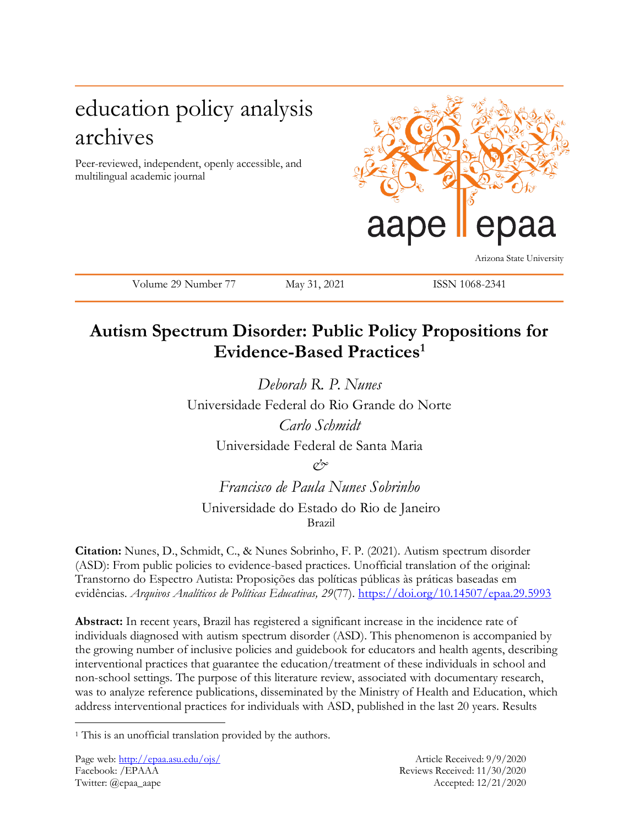# education policy analysis archives

Peer-reviewed, independent, openly accessible, and multilingual academic journal



Arizona State University

Volume 29 Number 77 May 31, 2021 ISSN 1068-2341

## **Autism Spectrum Disorder: Public Policy Propositions for Evidence-Based Practices<sup>1</sup>**

*Deborah R. P. Nunes* Universidade Federal do Rio Grande do Norte *Carlo Schmidt* Universidade Federal de Santa Maria *&*

*Francisco de Paula Nunes Sobrinho* Universidade do Estado do Rio de Janeiro Brazil

**Citation:** Nunes, D., Schmidt, C., & Nunes Sobrinho, F. P. (2021). Autism spectrum disorder (ASD): From public policies to evidence-based practices. Unofficial translation of the original: Transtorno do Espectro Autista: Proposições das políticas públicas às práticas baseadas em evidências. *Arquivos Analíticos de Políticas Educativas, 29*(77). <https://doi.org/10.14507/epaa.29.5993>

**Abstract:** In recent years, Brazil has registered a significant increase in the incidence rate of individuals diagnosed with autism spectrum disorder (ASD). This phenomenon is accompanied by the growing number of inclusive policies and guidebook for educators and health agents, describing interventional practices that guarantee the education/treatment of these individuals in school and non-school settings. The purpose of this literature review, associated with documentary research, was to analyze reference publications, disseminated by the Ministry of Health and Education, which address interventional practices for individuals with ASD, published in the last 20 years. Results

 $\overline{a}$ 

<sup>&</sup>lt;sup>1</sup> This is an unofficial translation provided by the authors.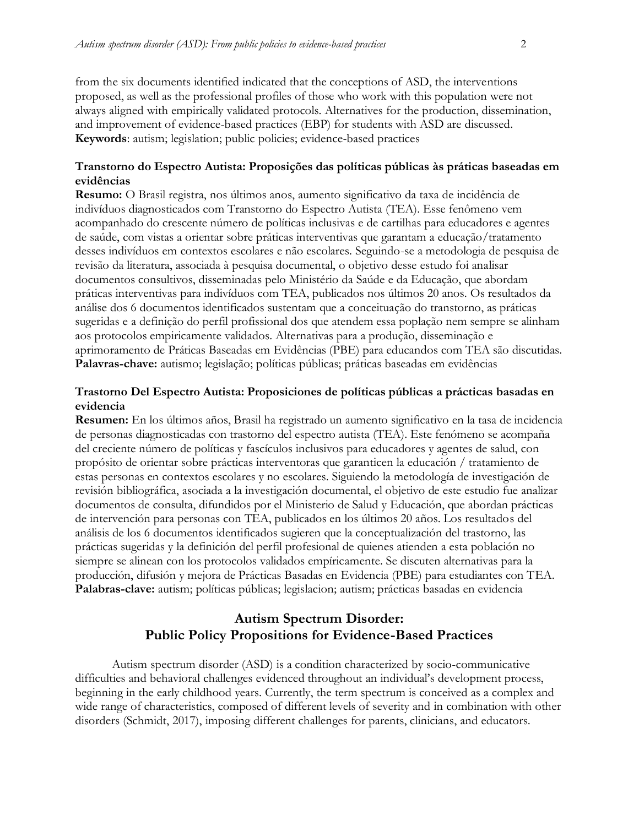from the six documents identified indicated that the conceptions of ASD, the interventions proposed, as well as the professional profiles of those who work with this population were not always aligned with empirically validated protocols. Alternatives for the production, dissemination, and improvement of evidence-based practices (EBP) for students with ASD are discussed. **Keywords**: autism; legislation; public policies; evidence-based practices

### **Transtorno do Espectro Autista: Proposições das políticas públicas às práticas baseadas em evidências**

**Resumo:** O Brasil registra, nos últimos anos, aumento significativo da taxa de incidência de indivíduos diagnosticados com Transtorno do Espectro Autista (TEA). Esse fenômeno vem acompanhado do crescente número de políticas inclusivas e de cartilhas para educadores e agentes de saúde, com vistas a orientar sobre práticas interventivas que garantam a educação/tratamento desses indivíduos em contextos escolares e não escolares. Seguindo-se a metodologia de pesquisa de revisão da literatura, associada à pesquisa documental, o objetivo desse estudo foi analisar documentos consultivos, disseminadas pelo Ministério da Saúde e da Educação, que abordam práticas interventivas para indivíduos com TEA, publicados nos últimos 20 anos. Os resultados da análise dos 6 documentos identificados sustentam que a conceituação do transtorno, as práticas sugeridas e a definição do perfil profissional dos que atendem essa poplação nem sempre se alinham aos protocolos empiricamente validados. Alternativas para a produção, disseminação e aprimoramento de Práticas Baseadas em Evidências (PBE) para educandos com TEA são discutidas. **Palavras-chave:** autismo; legislação; políticas públicas; práticas baseadas em evidências

### **Trastorno Del Espectro Autista: Proposiciones de políticas públicas a prácticas basadas en evidencia**

**Resumen:** En los últimos años, Brasil ha registrado un aumento significativo en la tasa de incidencia de personas diagnosticadas con trastorno del espectro autista (TEA). Este fenómeno se acompaña del creciente número de políticas y fascículos inclusivos para educadores y agentes de salud, con propósito de orientar sobre prácticas interventoras que garanticen la educación / tratamiento de estas personas en contextos escolares y no escolares. Siguiendo la metodología de investigación de revisión bibliográfica, asociada a la investigación documental, el objetivo de este estudio fue analizar documentos de consulta, difundidos por el Ministerio de Salud y Educación, que abordan prácticas de intervención para personas con TEA, publicados en los últimos 20 años. Los resultados del análisis de los 6 documentos identificados sugieren que la conceptualización del trastorno, las prácticas sugeridas y la definición del perfil profesional de quienes atienden a esta población no siempre se alinean con los protocolos validados empíricamente. Se discuten alternativas para la producción, difusión y mejora de Prácticas Basadas en Evidencia (PBE) para estudiantes con TEA. **Palabras-clave:** autism; políticas públicas; legislacion; autism; prácticas basadas en evidencia

## **Autism Spectrum Disorder: Public Policy Propositions for Evidence-Based Practices**

Autism spectrum disorder (ASD) is a condition characterized by socio-communicative difficulties and behavioral challenges evidenced throughout an individual's development process, beginning in the early childhood years. Currently, the term spectrum is conceived as a complex and wide range of characteristics, composed of different levels of severity and in combination with other disorders (Schmidt, 2017), imposing different challenges for parents, clinicians, and educators.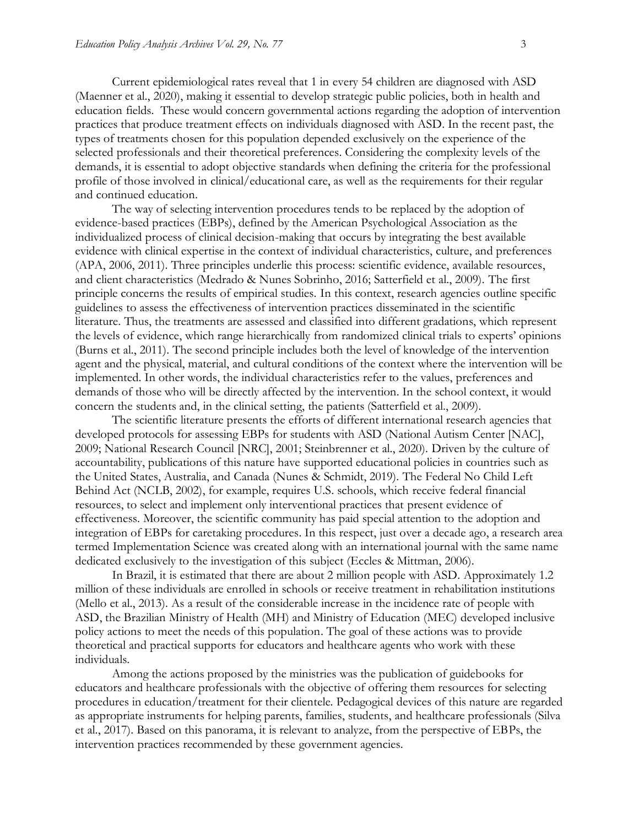Current epidemiological rates reveal that 1 in every 54 children are diagnosed with ASD (Maenner et al., 2020), making it essential to develop strategic public policies, both in health and education fields. These would concern governmental actions regarding the adoption of intervention practices that produce treatment effects on individuals diagnosed with ASD. In the recent past, the types of treatments chosen for this population depended exclusively on the experience of the selected professionals and their theoretical preferences. Considering the complexity levels of the demands, it is essential to adopt objective standards when defining the criteria for the professional profile of those involved in clinical/educational care, as well as the requirements for their regular and continued education.

The way of selecting intervention procedures tends to be replaced by the adoption of evidence-based practices (EBPs), defined by the American Psychological Association as the individualized process of clinical decision-making that occurs by integrating the best available evidence with clinical expertise in the context of individual characteristics, culture, and preferences (APA, 2006, 2011). Three principles underlie this process: scientific evidence, available resources, and client characteristics (Medrado & Nunes Sobrinho, 2016; Satterfield et al., 2009). The first principle concerns the results of empirical studies. In this context, research agencies outline specific guidelines to assess the effectiveness of intervention practices disseminated in the scientific literature. Thus, the treatments are assessed and classified into different gradations, which represent the levels of evidence, which range hierarchically from randomized clinical trials to experts' opinions (Burns et al., 2011). The second principle includes both the level of knowledge of the intervention agent and the physical, material, and cultural conditions of the context where the intervention will be implemented. In other words, the individual characteristics refer to the values, preferences and demands of those who will be directly affected by the intervention. In the school context, it would concern the students and, in the clinical setting, the patients (Satterfield et al., 2009).

The scientific literature presents the efforts of different international research agencies that developed protocols for assessing EBPs for students with ASD (National Autism Center [NAC], 2009; National Research Council [NRC], 2001; Steinbrenner et al., 2020). Driven by the culture of accountability, publications of this nature have supported educational policies in countries such as the United States, Australia, and Canada (Nunes & Schmidt, 2019). The Federal No Child Left Behind Act (NCLB, 2002), for example, requires U.S. schools, which receive federal financial resources, to select and implement only interventional practices that present evidence of effectiveness. Moreover, the scientific community has paid special attention to the adoption and integration of EBPs for caretaking procedures. In this respect, just over a decade ago, a research area termed Implementation Science was created along with an international journal with the same name dedicated exclusively to the investigation of this subject (Eccles & Mittman, 2006).

In Brazil, it is estimated that there are about 2 million people with ASD. Approximately 1.2 million of these individuals are enrolled in schools or receive treatment in rehabilitation institutions (Mello et al., 2013). As a result of the considerable increase in the incidence rate of people with ASD, the Brazilian Ministry of Health (MH) and Ministry of Education (MEC) developed inclusive policy actions to meet the needs of this population. The goal of these actions was to provide theoretical and practical supports for educators and healthcare agents who work with these individuals.

Among the actions proposed by the ministries was the publication of guidebooks for educators and healthcare professionals with the objective of offering them resources for selecting procedures in education/treatment for their clientele. Pedagogical devices of this nature are regarded as appropriate instruments for helping parents, families, students, and healthcare professionals (Silva et al., 2017). Based on this panorama, it is relevant to analyze, from the perspective of EBPs, the intervention practices recommended by these government agencies.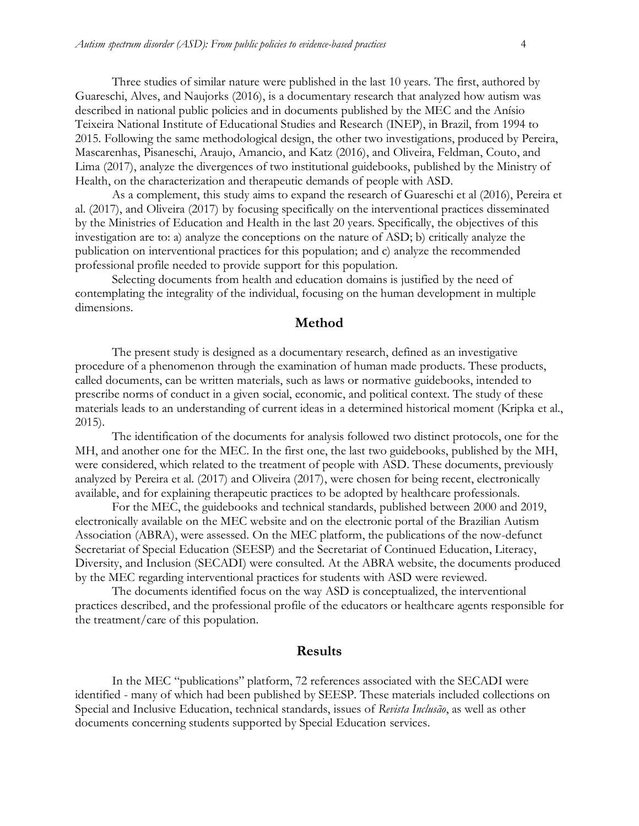Three studies of similar nature were published in the last 10 years. The first, authored by Guareschi, Alves, and Naujorks (2016), is a documentary research that analyzed how autism was described in national public policies and in documents published by the MEC and the Anísio Teixeira National Institute of Educational Studies and Research (INEP), in Brazil, from 1994 to 2015. Following the same methodological design, the other two investigations, produced by Pereira, Mascarenhas, Pisaneschi, Araujo, Amancio, and Katz (2016), and Oliveira, Feldman, Couto, and Lima (2017), analyze the divergences of two institutional guidebooks, published by the Ministry of Health, on the characterization and therapeutic demands of people with ASD.

As a complement, this study aims to expand the research of Guareschi et al (2016), Pereira et al. (2017), and Oliveira (2017) by focusing specifically on the interventional practices disseminated by the Ministries of Education and Health in the last 20 years. Specifically, the objectives of this investigation are to: a) analyze the conceptions on the nature of ASD; b) critically analyze the publication on interventional practices for this population; and c) analyze the recommended professional profile needed to provide support for this population.

Selecting documents from health and education domains is justified by the need of contemplating the integrality of the individual, focusing on the human development in multiple dimensions.

#### **Method**

The present study is designed as a documentary research, defined as an investigative procedure of a phenomenon through the examination of human made products. These products, called documents, can be written materials, such as laws or normative guidebooks, intended to prescribe norms of conduct in a given social, economic, and political context. The study of these materials leads to an understanding of current ideas in a determined historical moment (Kripka et al., 2015).

The identification of the documents for analysis followed two distinct protocols, one for the MH, and another one for the MEC. In the first one, the last two guidebooks, published by the MH, were considered, which related to the treatment of people with ASD. These documents, previously analyzed by Pereira et al. (2017) and Oliveira (2017), were chosen for being recent, electronically available, and for explaining therapeutic practices to be adopted by healthcare professionals.

For the MEC, the guidebooks and technical standards, published between 2000 and 2019, electronically available on the MEC website and on the electronic portal of the Brazilian Autism Association (ABRA), were assessed. On the MEC platform, the publications of the now-defunct Secretariat of Special Education (SEESP) and the Secretariat of Continued Education, Literacy, Diversity, and Inclusion (SECADI) were consulted. At the ABRA website, the documents produced by the MEC regarding interventional practices for students with ASD were reviewed.

The documents identified focus on the way ASD is conceptualized, the interventional practices described, and the professional profile of the educators or healthcare agents responsible for the treatment/care of this population.

#### **Results**

In the MEC "publications" platform, 72 references associated with the SECADI were identified - many of which had been published by SEESP. These materials included collections on Special and Inclusive Education, technical standards, issues of *Revista Inclusão*, as well as other documents concerning students supported by Special Education services.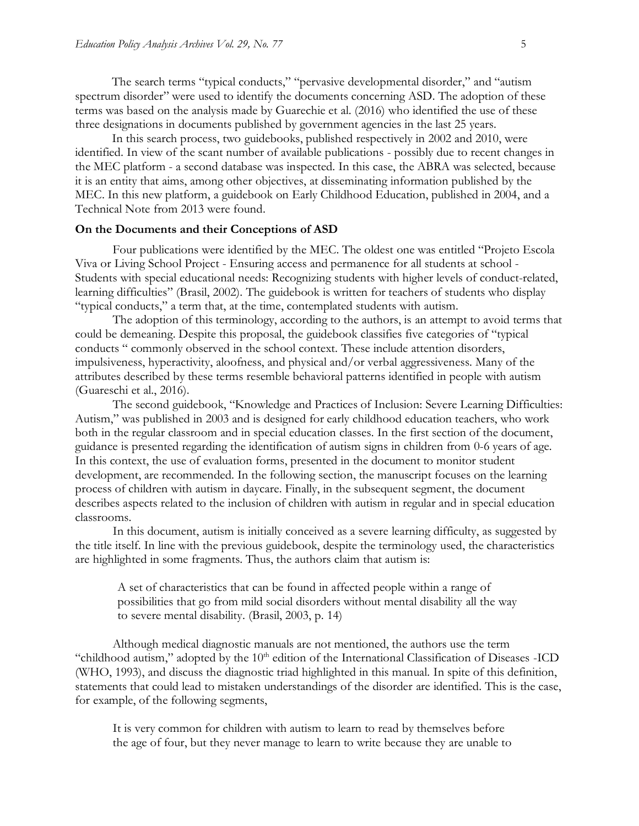The search terms "typical conducts," "pervasive developmental disorder," and "autism spectrum disorder" were used to identify the documents concerning ASD. The adoption of these terms was based on the analysis made by Guarechie et al. (2016) who identified the use of these three designations in documents published by government agencies in the last 25 years.

In this search process, two guidebooks, published respectively in 2002 and 2010, were identified. In view of the scant number of available publications - possibly due to recent changes in the MEC platform - a second database was inspected. In this case, the ABRA was selected, because it is an entity that aims, among other objectives, at disseminating information published by the MEC. In this new platform, a guidebook on Early Childhood Education, published in 2004, and a Technical Note from 2013 were found.

#### **On the Documents and their Conceptions of ASD**

Four publications were identified by the MEC. The oldest one was entitled "Projeto Escola Viva or Living School Project - Ensuring access and permanence for all students at school - Students with special educational needs: Recognizing students with higher levels of conduct-related, learning difficulties" (Brasil, 2002). The guidebook is written for teachers of students who display "typical conducts," a term that, at the time, contemplated students with autism.

The adoption of this terminology, according to the authors, is an attempt to avoid terms that could be demeaning. Despite this proposal, the guidebook classifies five categories of "typical conducts " commonly observed in the school context. These include attention disorders, impulsiveness, hyperactivity, aloofness, and physical and/or verbal aggressiveness. Many of the attributes described by these terms resemble behavioral patterns identified in people with autism (Guareschi et al., 2016).

The second guidebook, "Knowledge and Practices of Inclusion: Severe Learning Difficulties: Autism," was published in 2003 and is designed for early childhood education teachers, who work both in the regular classroom and in special education classes. In the first section of the document, guidance is presented regarding the identification of autism signs in children from 0-6 years of age. In this context, the use of evaluation forms, presented in the document to monitor student development, are recommended. In the following section, the manuscript focuses on the learning process of children with autism in daycare. Finally, in the subsequent segment, the document describes aspects related to the inclusion of children with autism in regular and in special education classrooms.

In this document, autism is initially conceived as a severe learning difficulty, as suggested by the title itself. In line with the previous guidebook, despite the terminology used, the characteristics are highlighted in some fragments. Thus, the authors claim that autism is:

A set of characteristics that can be found in affected people within a range of possibilities that go from mild social disorders without mental disability all the way to severe mental disability. (Brasil, 2003, p. 14)

Although medical diagnostic manuals are not mentioned, the authors use the term "childhood autism," adopted by the 10<sup>th</sup> edition of the International Classification of Diseases -ICD (WHO, 1993), and discuss the diagnostic triad highlighted in this manual. In spite of this definition, statements that could lead to mistaken understandings of the disorder are identified. This is the case, for example, of the following segments,

It is very common for children with autism to learn to read by themselves before the age of four, but they never manage to learn to write because they are unable to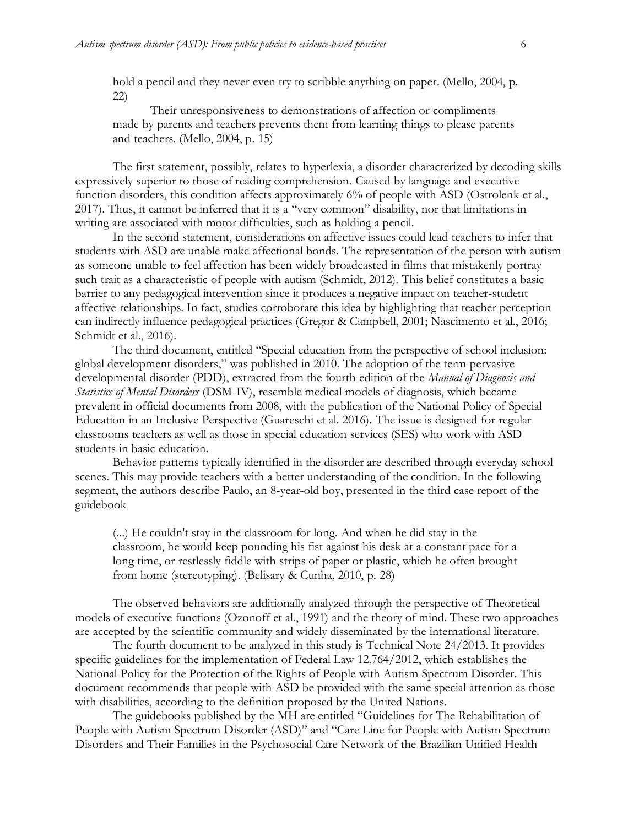hold a pencil and they never even try to scribble anything on paper. (Mello, 2004, p. 22)

Their unresponsiveness to demonstrations of affection or compliments made by parents and teachers prevents them from learning things to please parents and teachers. (Mello, 2004, p. 15)

The first statement, possibly, relates to hyperlexia, a disorder characterized by decoding skills expressively superior to those of reading comprehension. Caused by language and executive function disorders, this condition affects approximately 6% of people with ASD (Ostrolenk et al., 2017). Thus, it cannot be inferred that it is a "very common" disability, nor that limitations in writing are associated with motor difficulties, such as holding a pencil.

In the second statement, considerations on affective issues could lead teachers to infer that students with ASD are unable make affectional bonds. The representation of the person with autism as someone unable to feel affection has been widely broadcasted in films that mistakenly portray such trait as a characteristic of people with autism (Schmidt, 2012). This belief constitutes a basic barrier to any pedagogical intervention since it produces a negative impact on teacher-student affective relationships. In fact, studies corroborate this idea by highlighting that teacher perception can indirectly influence pedagogical practices (Gregor & Campbell, 2001; Nascimento et al., 2016; Schmidt et al., 2016).

The third document, entitled "Special education from the perspective of school inclusion: global development disorders," was published in 2010. The adoption of the term pervasive developmental disorder (PDD), extracted from the fourth edition of the *Manual of Diagnosis and Statistics of Mental Disorders* (DSM-IV), resemble medical models of diagnosis, which became prevalent in official documents from 2008, with the publication of the National Policy of Special Education in an Inclusive Perspective (Guareschi et al. 2016). The issue is designed for regular classrooms teachers as well as those in special education services (SES) who work with ASD students in basic education.

Behavior patterns typically identified in the disorder are described through everyday school scenes. This may provide teachers with a better understanding of the condition. In the following segment, the authors describe Paulo, an 8-year-old boy, presented in the third case report of the guidebook

(...) He couldn't stay in the classroom for long. And when he did stay in the classroom, he would keep pounding his fist against his desk at a constant pace for a long time, or restlessly fiddle with strips of paper or plastic, which he often brought from home (stereotyping). (Belisary & Cunha, 2010, p. 28)

The observed behaviors are additionally analyzed through the perspective of Theoretical models of executive functions (Ozonoff et al., 1991) and the theory of mind. These two approaches are accepted by the scientific community and widely disseminated by the international literature.

The fourth document to be analyzed in this study is Technical Note 24/2013. It provides specific guidelines for the implementation of Federal Law 12.764/2012, which establishes the National Policy for the Protection of the Rights of People with Autism Spectrum Disorder. This document recommends that people with ASD be provided with the same special attention as those with disabilities, according to the definition proposed by the United Nations.

The guidebooks published by the MH are entitled "Guidelines for The Rehabilitation of People with Autism Spectrum Disorder (ASD)" and "Care Line for People with Autism Spectrum Disorders and Their Families in the Psychosocial Care Network of the Brazilian Unified Health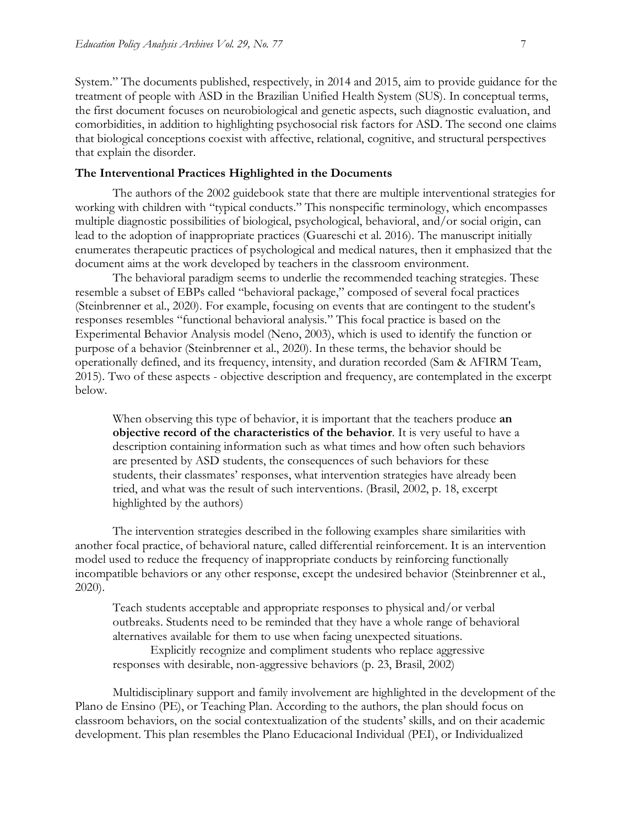System." The documents published, respectively, in 2014 and 2015, aim to provide guidance for the treatment of people with ASD in the Brazilian Unified Health System (SUS). In conceptual terms, the first document focuses on neurobiological and genetic aspects, such diagnostic evaluation, and comorbidities, in addition to highlighting psychosocial risk factors for ASD. The second one claims that biological conceptions coexist with affective, relational, cognitive, and structural perspectives that explain the disorder.

#### **The Interventional Practices Highlighted in the Documents**

The authors of the 2002 guidebook state that there are multiple interventional strategies for working with children with "typical conducts." This nonspecific terminology, which encompasses multiple diagnostic possibilities of biological, psychological, behavioral, and/or social origin, can lead to the adoption of inappropriate practices (Guareschi et al. 2016). The manuscript initially enumerates therapeutic practices of psychological and medical natures, then it emphasized that the document aims at the work developed by teachers in the classroom environment.

The behavioral paradigm seems to underlie the recommended teaching strategies. These resemble a subset of EBPs called "behavioral package," composed of several focal practices (Steinbrenner et al., 2020). For example, focusing on events that are contingent to the student's responses resembles "functional behavioral analysis." This focal practice is based on the Experimental Behavior Analysis model (Neno, 2003), which is used to identify the function or purpose of a behavior (Steinbrenner et al., 2020). In these terms, the behavior should be operationally defined, and its frequency, intensity, and duration recorded (Sam & AFIRM Team, 2015). Two of these aspects - objective description and frequency, are contemplated in the excerpt below.

When observing this type of behavior, it is important that the teachers produce **an objective record of the characteristics of the behavior**. It is very useful to have a description containing information such as what times and how often such behaviors are presented by ASD students, the consequences of such behaviors for these students, their classmates' responses, what intervention strategies have already been tried, and what was the result of such interventions. (Brasil, 2002, p. 18, excerpt highlighted by the authors)

The intervention strategies described in the following examples share similarities with another focal practice, of behavioral nature, called differential reinforcement. It is an intervention model used to reduce the frequency of inappropriate conducts by reinforcing functionally incompatible behaviors or any other response, except the undesired behavior (Steinbrenner et al., 2020).

Teach students acceptable and appropriate responses to physical and/or verbal outbreaks. Students need to be reminded that they have a whole range of behavioral alternatives available for them to use when facing unexpected situations. Explicitly recognize and compliment students who replace aggressive

responses with desirable, non-aggressive behaviors (p. 23, Brasil, 2002)

Multidisciplinary support and family involvement are highlighted in the development of the Plano de Ensino (PE), or Teaching Plan. According to the authors, the plan should focus on classroom behaviors, on the social contextualization of the students' skills, and on their academic development. This plan resembles the Plano Educacional Individual (PEI), or Individualized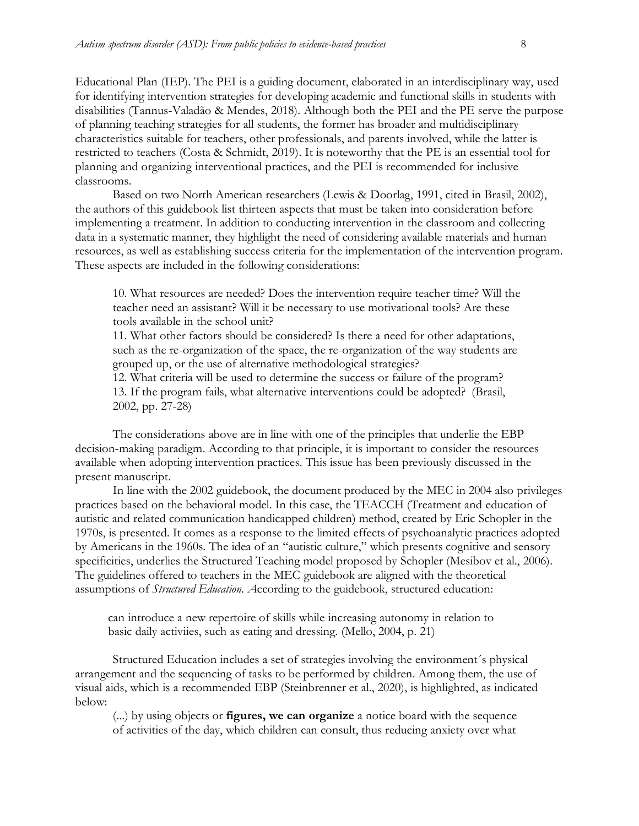Educational Plan (IEP). The PEI is a guiding document, elaborated in an interdisciplinary way, used for identifying intervention strategies for developing academic and functional skills in students with disabilities (Tannus-Valadão & Mendes, 2018). Although both the PEI and the PE serve the purpose of planning teaching strategies for all students, the former has broader and multidisciplinary characteristics suitable for teachers, other professionals, and parents involved, while the latter is restricted to teachers (Costa & Schmidt, 2019). It is noteworthy that the PE is an essential tool for planning and organizing interventional practices, and the PEI is recommended for inclusive classrooms.

Based on two North American researchers (Lewis & Doorlag, 1991, cited in Brasil, 2002), the authors of this guidebook list thirteen aspects that must be taken into consideration before implementing a treatment. In addition to conducting intervention in the classroom and collecting data in a systematic manner, they highlight the need of considering available materials and human resources, as well as establishing success criteria for the implementation of the intervention program. These aspects are included in the following considerations:

10. What resources are needed? Does the intervention require teacher time? Will the teacher need an assistant? Will it be necessary to use motivational tools? Are these tools available in the school unit?

11. What other factors should be considered? Is there a need for other adaptations, such as the re-organization of the space, the re-organization of the way students are grouped up, or the use of alternative methodological strategies?

12. What criteria will be used to determine the success or failure of the program? 13. If the program fails, what alternative interventions could be adopted? (Brasil, 2002, pp. 27-28)

The considerations above are in line with one of the principles that underlie the EBP decision-making paradigm. According to that principle, it is important to consider the resources available when adopting intervention practices. This issue has been previously discussed in the present manuscript.

In line with the 2002 guidebook, the document produced by the MEC in 2004 also privileges practices based on the behavioral model. In this case, the TEACCH (Treatment and education of autistic and related communication handicapped children) method, created by Eric Schopler in the 1970s, is presented. It comes as a response to the limited effects of psychoanalytic practices adopted by Americans in the 1960s. The idea of an "autistic culture," which presents cognitive and sensory specificities, underlies the Structured Teaching model proposed by Schopler (Mesibov et al., 2006). The guidelines offered to teachers in the MEC guidebook are aligned with the theoretical assumptions of *Structured Education. A*ccording to the guidebook, structured education:

can introduce a new repertoire of skills while increasing autonomy in relation to basic daily activiies, such as eating and dressing. (Mello, 2004, p. 21)

Structured Education includes a set of strategies involving the environment´s physical arrangement and the sequencing of tasks to be performed by children. Among them, the use of visual aids, which is a recommended EBP (Steinbrenner et al., 2020), is highlighted, as indicated below:

(...) by using objects or **figures, we can organize** a notice board with the sequence of activities of the day, which children can consult, thus reducing anxiety over what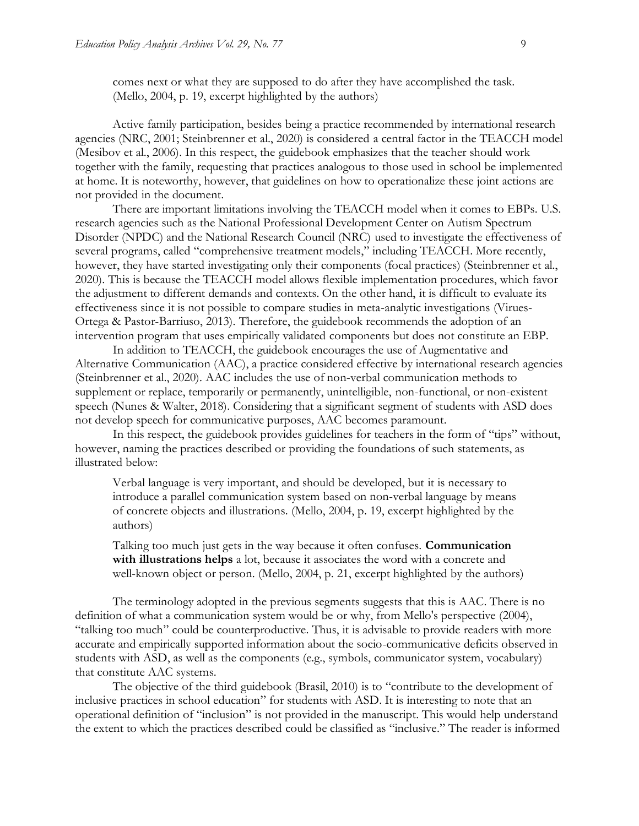comes next or what they are supposed to do after they have accomplished the task. (Mello, 2004, p. 19, excerpt highlighted by the authors)

Active family participation, besides being a practice recommended by international research agencies (NRC, 2001; Steinbrenner et al., 2020) is considered a central factor in the TEACCH model (Mesibov et al., 2006). In this respect, the guidebook emphasizes that the teacher should work together with the family, requesting that practices analogous to those used in school be implemented at home. It is noteworthy, however, that guidelines on how to operationalize these joint actions are not provided in the document.

There are important limitations involving the TEACCH model when it comes to EBPs. U.S. research agencies such as the National Professional Development Center on Autism Spectrum Disorder (NPDC) and the National Research Council (NRC) used to investigate the effectiveness of several programs, called "comprehensive treatment models," including TEACCH. More recently, however, they have started investigating only their components (focal practices) (Steinbrenner et al., 2020). This is because the TEACCH model allows flexible implementation procedures, which favor the adjustment to different demands and contexts. On the other hand, it is difficult to evaluate its effectiveness since it is not possible to compare studies in meta-analytic investigations (Virues-Ortega & Pastor-Barriuso, 2013). Therefore, the guidebook recommends the adoption of an intervention program that uses empirically validated components but does not constitute an EBP.

In addition to TEACCH, the guidebook encourages the use of Augmentative and Alternative Communication (AAC), a practice considered effective by international research agencies (Steinbrenner et al., 2020). AAC includes the use of non-verbal communication methods to supplement or replace, temporarily or permanently, unintelligible, non-functional, or non-existent speech (Nunes & Walter, 2018). Considering that a significant segment of students with ASD does not develop speech for communicative purposes, AAC becomes paramount.

In this respect, the guidebook provides guidelines for teachers in the form of "tips" without, however, naming the practices described or providing the foundations of such statements, as illustrated below:

Verbal language is very important, and should be developed, but it is necessary to introduce a parallel communication system based on non-verbal language by means of concrete objects and illustrations. (Mello, 2004, p. 19, excerpt highlighted by the authors)

Talking too much just gets in the way because it often confuses. **Communication with illustrations helps** a lot, because it associates the word with a concrete and well-known object or person. (Mello, 2004, p. 21, excerpt highlighted by the authors)

The terminology adopted in the previous segments suggests that this is AAC. There is no definition of what a communication system would be or why, from Mello's perspective (2004), "talking too much" could be counterproductive. Thus, it is advisable to provide readers with more accurate and empirically supported information about the socio-communicative deficits observed in students with ASD, as well as the components (e.g., symbols, communicator system, vocabulary) that constitute AAC systems.

The objective of the third guidebook (Brasil, 2010) is to "contribute to the development of inclusive practices in school education" for students with ASD. It is interesting to note that an operational definition of "inclusion" is not provided in the manuscript. This would help understand the extent to which the practices described could be classified as "inclusive." The reader is informed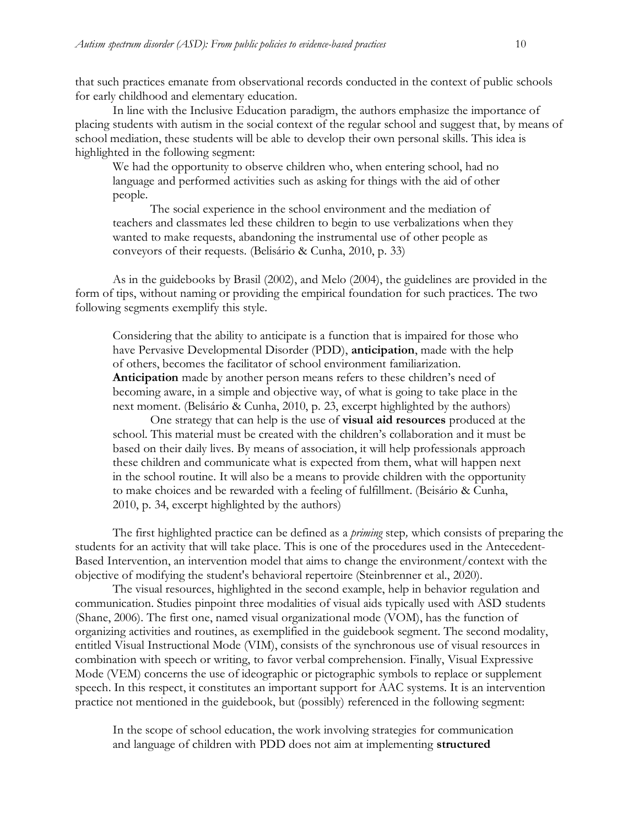that such practices emanate from observational records conducted in the context of public schools for early childhood and elementary education.

In line with the Inclusive Education paradigm, the authors emphasize the importance of placing students with autism in the social context of the regular school and suggest that, by means of school mediation, these students will be able to develop their own personal skills. This idea is highlighted in the following segment:

We had the opportunity to observe children who, when entering school, had no language and performed activities such as asking for things with the aid of other people.

The social experience in the school environment and the mediation of teachers and classmates led these children to begin to use verbalizations when they wanted to make requests, abandoning the instrumental use of other people as conveyors of their requests. (Belisário & Cunha, 2010, p. 33)

As in the guidebooks by Brasil (2002), and Melo (2004), the guidelines are provided in the form of tips, without naming or providing the empirical foundation for such practices. The two following segments exemplify this style.

Considering that the ability to anticipate is a function that is impaired for those who have Pervasive Developmental Disorder (PDD), **anticipation**, made with the help of others, becomes the facilitator of school environment familiarization. **Anticipation** made by another person means refers to these children's need of becoming aware, in a simple and objective way, of what is going to take place in the next moment. (Belisário & Cunha, 2010, p. 23, excerpt highlighted by the authors)

One strategy that can help is the use of **visual aid resources** produced at the school. This material must be created with the children's collaboration and it must be based on their daily lives. By means of association, it will help professionals approach these children and communicate what is expected from them, what will happen next in the school routine. It will also be a means to provide children with the opportunity to make choices and be rewarded with a feeling of fulfillment. (Beisário & Cunha, 2010, p. 34, excerpt highlighted by the authors)

The first highlighted practice can be defined as a *priming* step*,* which consists of preparing the students for an activity that will take place. This is one of the procedures used in the Antecedent-Based Intervention, an intervention model that aims to change the environment/context with the objective of modifying the student's behavioral repertoire (Steinbrenner et al., 2020).

The visual resources, highlighted in the second example, help in behavior regulation and communication. Studies pinpoint three modalities of visual aids typically used with ASD students (Shane, 2006). The first one, named visual organizational mode (VOM), has the function of organizing activities and routines, as exemplified in the guidebook segment. The second modality, entitled Visual Instructional Mode (VIM), consists of the synchronous use of visual resources in combination with speech or writing, to favor verbal comprehension. Finally, Visual Expressive Mode (VEM) concerns the use of ideographic or pictographic symbols to replace or supplement speech. In this respect, it constitutes an important support for AAC systems. It is an intervention practice not mentioned in the guidebook, but (possibly) referenced in the following segment:

In the scope of school education, the work involving strategies for communication and language of children with PDD does not aim at implementing **structured**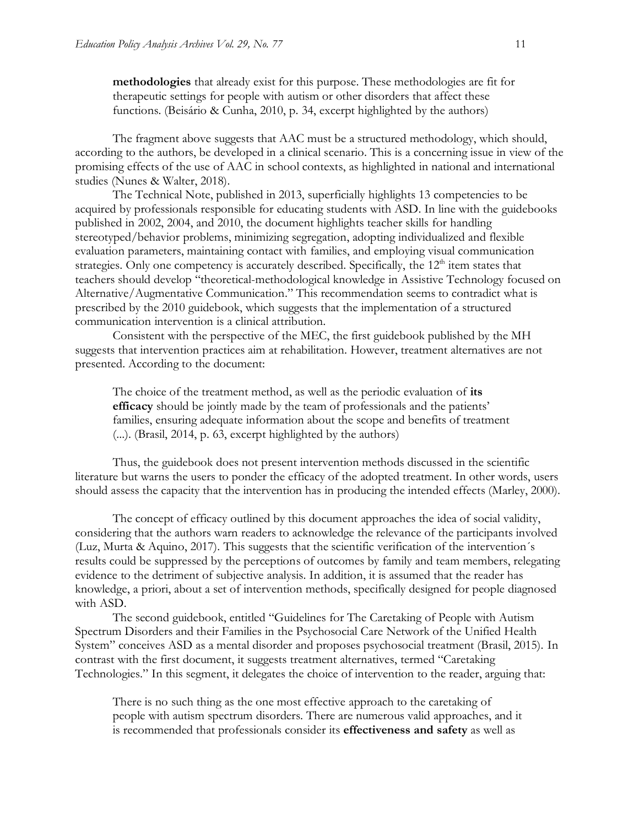**methodologies** that already exist for this purpose. These methodologies are fit for therapeutic settings for people with autism or other disorders that affect these functions. (Beisário & Cunha, 2010, p. 34, excerpt highlighted by the authors)

The fragment above suggests that AAC must be a structured methodology, which should, according to the authors, be developed in a clinical scenario. This is a concerning issue in view of the promising effects of the use of AAC in school contexts, as highlighted in national and international studies (Nunes & Walter, 2018).

The Technical Note, published in 2013, superficially highlights 13 competencies to be acquired by professionals responsible for educating students with ASD. In line with the guidebooks published in 2002, 2004, and 2010, the document highlights teacher skills for handling stereotyped/behavior problems, minimizing segregation, adopting individualized and flexible evaluation parameters, maintaining contact with families, and employing visual communication strategies. Only one competency is accurately described. Specifically, the  $12<sup>th</sup>$  item states that teachers should develop "theoretical-methodological knowledge in Assistive Technology focused on Alternative/Augmentative Communication." This recommendation seems to contradict what is prescribed by the 2010 guidebook, which suggests that the implementation of a structured communication intervention is a clinical attribution.

Consistent with the perspective of the MEC, the first guidebook published by the MH suggests that intervention practices aim at rehabilitation. However, treatment alternatives are not presented. According to the document:

The choice of the treatment method, as well as the periodic evaluation of **its efficacy** should be jointly made by the team of professionals and the patients' families, ensuring adequate information about the scope and benefits of treatment (...). (Brasil, 2014, p. 63, excerpt highlighted by the authors)

Thus, the guidebook does not present intervention methods discussed in the scientific literature but warns the users to ponder the efficacy of the adopted treatment. In other words, users should assess the capacity that the intervention has in producing the intended effects (Marley, 2000).

The concept of efficacy outlined by this document approaches the idea of social validity, considering that the authors warn readers to acknowledge the relevance of the participants involved (Luz, Murta & Aquino, 2017). This suggests that the scientific verification of the intervention´s results could be suppressed by the perceptions of outcomes by family and team members, relegating evidence to the detriment of subjective analysis. In addition, it is assumed that the reader has knowledge, a priori, about a set of intervention methods, specifically designed for people diagnosed with ASD.

The second guidebook, entitled "Guidelines for The Caretaking of People with Autism Spectrum Disorders and their Families in the Psychosocial Care Network of the Unified Health System" conceives ASD as a mental disorder and proposes psychosocial treatment (Brasil, 2015). In contrast with the first document, it suggests treatment alternatives, termed "Caretaking Technologies." In this segment, it delegates the choice of intervention to the reader, arguing that:

There is no such thing as the one most effective approach to the caretaking of people with autism spectrum disorders. There are numerous valid approaches, and it is recommended that professionals consider its **effectiveness and safety** as well as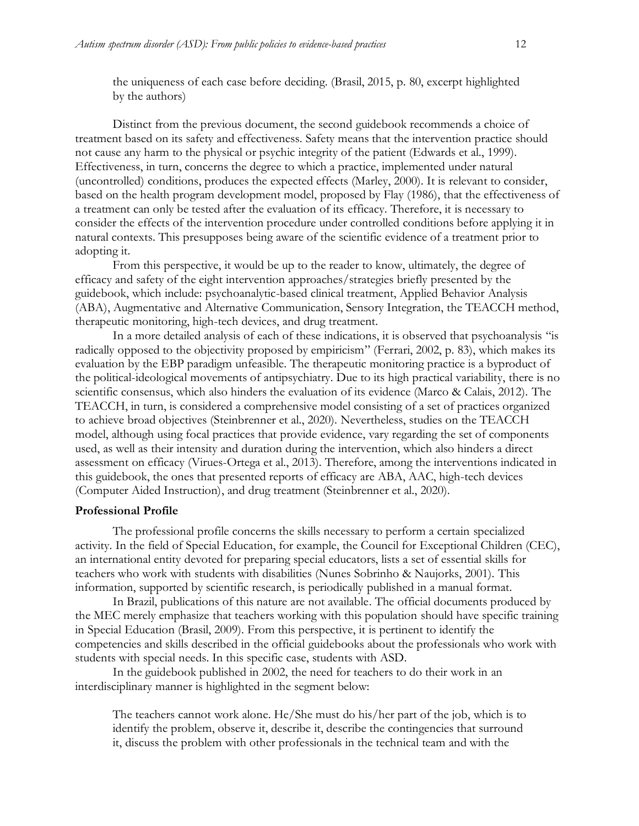Distinct from the previous document, the second guidebook recommends a choice of treatment based on its safety and effectiveness. Safety means that the intervention practice should not cause any harm to the physical or psychic integrity of the patient (Edwards et al., 1999). Effectiveness, in turn, concerns the degree to which a practice, implemented under natural (uncontrolled) conditions, produces the expected effects (Marley, 2000). It is relevant to consider, based on the health program development model, proposed by Flay (1986), that the effectiveness of a treatment can only be tested after the evaluation of its efficacy. Therefore, it is necessary to consider the effects of the intervention procedure under controlled conditions before applying it in natural contexts. This presupposes being aware of the scientific evidence of a treatment prior to adopting it.

From this perspective, it would be up to the reader to know, ultimately, the degree of efficacy and safety of the eight intervention approaches/strategies briefly presented by the guidebook, which include: psychoanalytic-based clinical treatment, Applied Behavior Analysis (ABA), Augmentative and Alternative Communication, Sensory Integration, the TEACCH method, therapeutic monitoring, high-tech devices, and drug treatment.

In a more detailed analysis of each of these indications, it is observed that psychoanalysis "is radically opposed to the objectivity proposed by empiricism" (Ferrari, 2002, p. 83), which makes its evaluation by the EBP paradigm unfeasible. The therapeutic monitoring practice is a byproduct of the political-ideological movements of antipsychiatry. Due to its high practical variability, there is no scientific consensus, which also hinders the evaluation of its evidence (Marco & Calais, 2012). The TEACCH, in turn, is considered a comprehensive model consisting of a set of practices organized to achieve broad objectives (Steinbrenner et al., 2020). Nevertheless, studies on the TEACCH model, although using focal practices that provide evidence, vary regarding the set of components used, as well as their intensity and duration during the intervention, which also hinders a direct assessment on efficacy (Virues-Ortega et al., 2013). Therefore, among the interventions indicated in this guidebook, the ones that presented reports of efficacy are ABA, AAC, high-tech devices (Computer Aided Instruction), and drug treatment (Steinbrenner et al., 2020).

#### **Professional Profile**

The professional profile concerns the skills necessary to perform a certain specialized activity. In the field of Special Education, for example, the Council for Exceptional Children (CEC), an international entity devoted for preparing special educators, lists a set of essential skills for teachers who work with students with disabilities (Nunes Sobrinho & Naujorks, 2001). This information, supported by scientific research, is periodically published in a manual format.

In Brazil, publications of this nature are not available. The official documents produced by the MEC merely emphasize that teachers working with this population should have specific training in Special Education (Brasil, 2009). From this perspective, it is pertinent to identify the competencies and skills described in the official guidebooks about the professionals who work with students with special needs. In this specific case, students with ASD.

In the guidebook published in 2002, the need for teachers to do their work in an interdisciplinary manner is highlighted in the segment below:

The teachers cannot work alone. He/She must do his/her part of the job, which is to identify the problem, observe it, describe it, describe the contingencies that surround it, discuss the problem with other professionals in the technical team and with the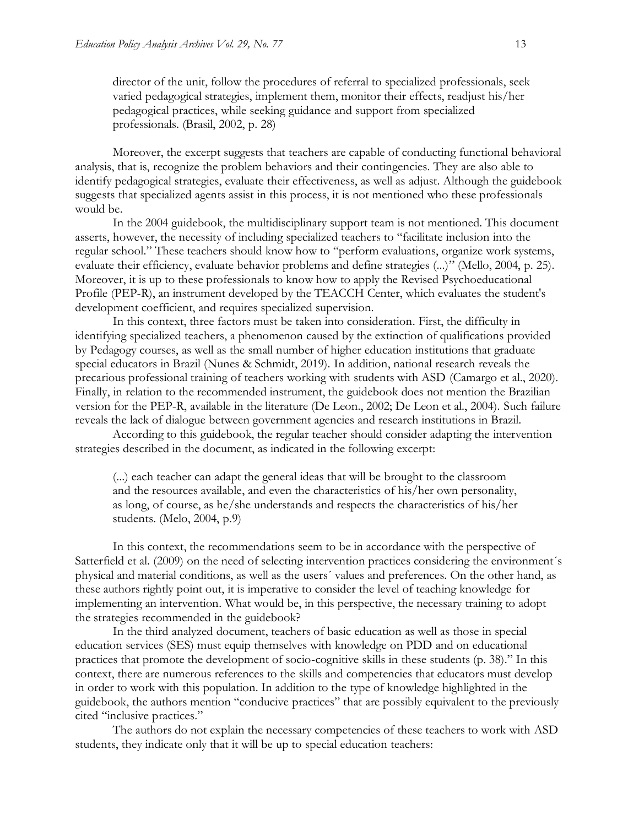director of the unit, follow the procedures of referral to specialized professionals, seek varied pedagogical strategies, implement them, monitor their effects, readjust his/her pedagogical practices, while seeking guidance and support from specialized professionals. (Brasil, 2002, p. 28)

Moreover, the excerpt suggests that teachers are capable of conducting functional behavioral analysis, that is, recognize the problem behaviors and their contingencies. They are also able to identify pedagogical strategies, evaluate their effectiveness, as well as adjust. Although the guidebook suggests that specialized agents assist in this process, it is not mentioned who these professionals would be.

In the 2004 guidebook, the multidisciplinary support team is not mentioned. This document asserts, however, the necessity of including specialized teachers to "facilitate inclusion into the regular school." These teachers should know how to "perform evaluations, organize work systems, evaluate their efficiency, evaluate behavior problems and define strategies (...)" (Mello, 2004, p. 25). Moreover, it is up to these professionals to know how to apply the Revised Psychoeducational Profile (PEP-R), an instrument developed by the TEACCH Center, which evaluates the student's development coefficient, and requires specialized supervision.

In this context, three factors must be taken into consideration. First, the difficulty in identifying specialized teachers, a phenomenon caused by the extinction of qualifications provided by Pedagogy courses, as well as the small number of higher education institutions that graduate special educators in Brazil (Nunes & Schmidt, 2019). In addition, national research reveals the precarious professional training of teachers working with students with ASD (Camargo et al., 2020). Finally, in relation to the recommended instrument, the guidebook does not mention the Brazilian version for the PEP-R, available in the literature (De Leon., 2002; De Leon et al., 2004). Such failure reveals the lack of dialogue between government agencies and research institutions in Brazil.

According to this guidebook, the regular teacher should consider adapting the intervention strategies described in the document, as indicated in the following excerpt:

(...) each teacher can adapt the general ideas that will be brought to the classroom and the resources available, and even the characteristics of his/her own personality, as long, of course, as he/she understands and respects the characteristics of his/her students. (Melo, 2004, p.9)

In this context, the recommendations seem to be in accordance with the perspective of Satterfield et al. (2009) on the need of selecting intervention practices considering the environment´s physical and material conditions, as well as the users´ values and preferences. On the other hand, as these authors rightly point out, it is imperative to consider the level of teaching knowledge for implementing an intervention. What would be, in this perspective, the necessary training to adopt the strategies recommended in the guidebook?

In the third analyzed document, teachers of basic education as well as those in special education services (SES) must equip themselves with knowledge on PDD and on educational practices that promote the development of socio-cognitive skills in these students (p. 38)." In this context, there are numerous references to the skills and competencies that educators must develop in order to work with this population. In addition to the type of knowledge highlighted in the guidebook, the authors mention "conducive practices" that are possibly equivalent to the previously cited "inclusive practices."

The authors do not explain the necessary competencies of these teachers to work with ASD students, they indicate only that it will be up to special education teachers: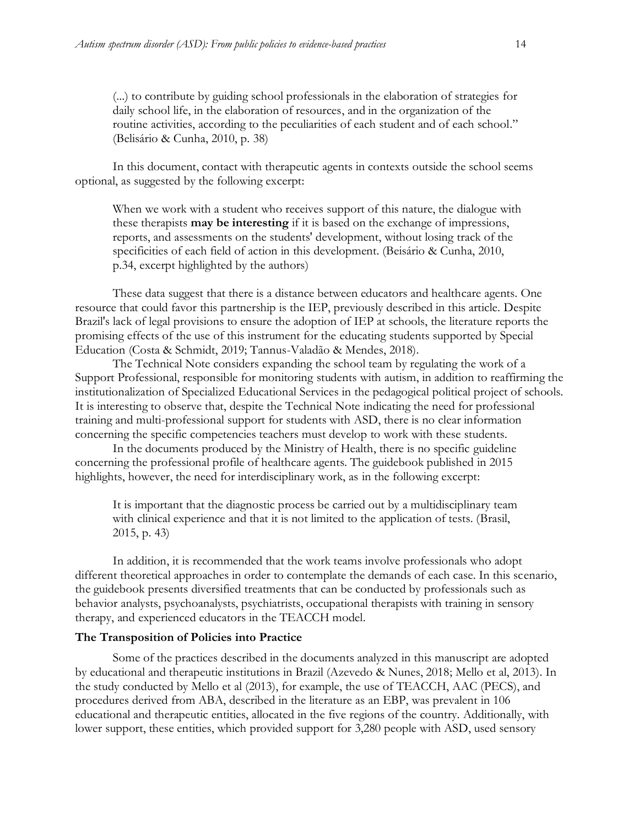(...) to contribute by guiding school professionals in the elaboration of strategies for daily school life, in the elaboration of resources, and in the organization of the routine activities, according to the peculiarities of each student and of each school." (Belisário & Cunha, 2010, p. 38)

In this document, contact with therapeutic agents in contexts outside the school seems optional, as suggested by the following excerpt:

When we work with a student who receives support of this nature, the dialogue with these therapists **may be interesting** if it is based on the exchange of impressions, reports, and assessments on the students' development, without losing track of the specificities of each field of action in this development. (Beisário & Cunha, 2010, p.34, excerpt highlighted by the authors)

These data suggest that there is a distance between educators and healthcare agents. One resource that could favor this partnership is the IEP, previously described in this article. Despite Brazil's lack of legal provisions to ensure the adoption of IEP at schools, the literature reports the promising effects of the use of this instrument for the educating students supported by Special Education (Costa & Schmidt, 2019; Tannus-Valadão & Mendes, 2018).

The Technical Note considers expanding the school team by regulating the work of a Support Professional, responsible for monitoring students with autism, in addition to reaffirming the institutionalization of Specialized Educational Services in the pedagogical political project of schools. It is interesting to observe that, despite the Technical Note indicating the need for professional training and multi-professional support for students with ASD, there is no clear information concerning the specific competencies teachers must develop to work with these students.

In the documents produced by the Ministry of Health, there is no specific guideline concerning the professional profile of healthcare agents. The guidebook published in 2015 highlights, however, the need for interdisciplinary work, as in the following excerpt:

It is important that the diagnostic process be carried out by a multidisciplinary team with clinical experience and that it is not limited to the application of tests. (Brasil, 2015, p. 43)

In addition, it is recommended that the work teams involve professionals who adopt different theoretical approaches in order to contemplate the demands of each case. In this scenario, the guidebook presents diversified treatments that can be conducted by professionals such as behavior analysts, psychoanalysts, psychiatrists, occupational therapists with training in sensory therapy, and experienced educators in the TEACCH model.

#### **The Transposition of Policies into Practice**

Some of the practices described in the documents analyzed in this manuscript are adopted by educational and therapeutic institutions in Brazil (Azevedo & Nunes, 2018; Mello et al, 2013). In the study conducted by Mello et al (2013), for example, the use of TEACCH, AAC (PECS), and procedures derived from ABA, described in the literature as an EBP, was prevalent in 106 educational and therapeutic entities, allocated in the five regions of the country. Additionally, with lower support, these entities, which provided support for 3,280 people with ASD, used sensory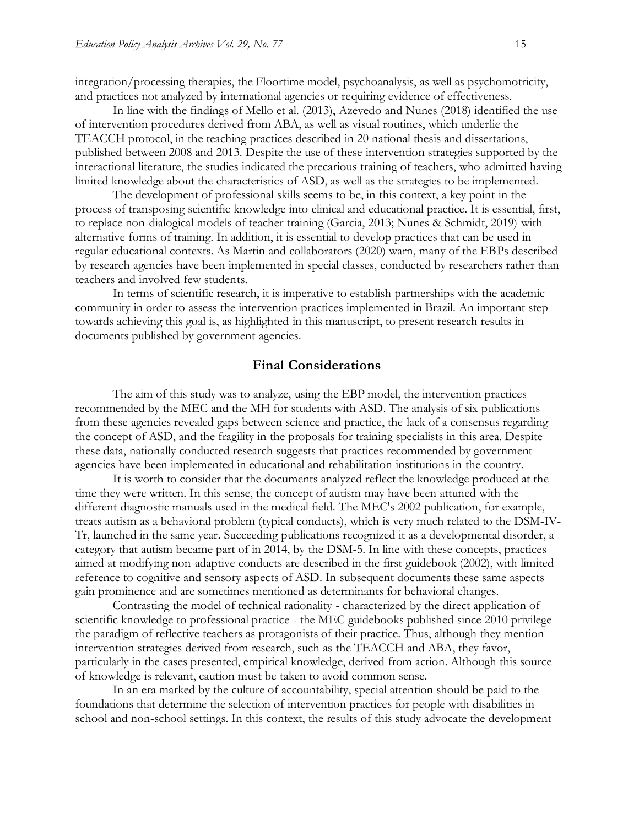integration/processing therapies, the Floortime model, psychoanalysis, as well as psychomotricity, and practices not analyzed by international agencies or requiring evidence of effectiveness.

In line with the findings of Mello et al. (2013), Azevedo and Nunes (2018) identified the use of intervention procedures derived from ABA, as well as visual routines, which underlie the TEACCH protocol, in the teaching practices described in 20 national thesis and dissertations, published between 2008 and 2013. Despite the use of these intervention strategies supported by the interactional literature, the studies indicated the precarious training of teachers, who admitted having limited knowledge about the characteristics of ASD, as well as the strategies to be implemented.

The development of professional skills seems to be, in this context, a key point in the process of transposing scientific knowledge into clinical and educational practice. It is essential, first, to replace non-dialogical models of teacher training (Garcia, 2013; Nunes & Schmidt, 2019) with alternative forms of training. In addition, it is essential to develop practices that can be used in regular educational contexts. As Martin and collaborators (2020) warn, many of the EBPs described by research agencies have been implemented in special classes, conducted by researchers rather than teachers and involved few students.

In terms of scientific research, it is imperative to establish partnerships with the academic community in order to assess the intervention practices implemented in Brazil. An important step towards achieving this goal is, as highlighted in this manuscript, to present research results in documents published by government agencies.

#### **Final Considerations**

The aim of this study was to analyze, using the EBP model, the intervention practices recommended by the MEC and the MH for students with ASD. The analysis of six publications from these agencies revealed gaps between science and practice, the lack of a consensus regarding the concept of ASD, and the fragility in the proposals for training specialists in this area. Despite these data, nationally conducted research suggests that practices recommended by government agencies have been implemented in educational and rehabilitation institutions in the country.

It is worth to consider that the documents analyzed reflect the knowledge produced at the time they were written. In this sense, the concept of autism may have been attuned with the different diagnostic manuals used in the medical field. The MEC's 2002 publication, for example, treats autism as a behavioral problem (typical conducts), which is very much related to the DSM-IV-Tr, launched in the same year. Succeeding publications recognized it as a developmental disorder, a category that autism became part of in 2014, by the DSM-5. In line with these concepts, practices aimed at modifying non-adaptive conducts are described in the first guidebook (2002), with limited reference to cognitive and sensory aspects of ASD. In subsequent documents these same aspects gain prominence and are sometimes mentioned as determinants for behavioral changes.

Contrasting the model of technical rationality - characterized by the direct application of scientific knowledge to professional practice - the MEC guidebooks published since 2010 privilege the paradigm of reflective teachers as protagonists of their practice. Thus, although they mention intervention strategies derived from research, such as the TEACCH and ABA, they favor, particularly in the cases presented, empirical knowledge, derived from action. Although this source of knowledge is relevant, caution must be taken to avoid common sense.

In an era marked by the culture of accountability, special attention should be paid to the foundations that determine the selection of intervention practices for people with disabilities in school and non-school settings. In this context, the results of this study advocate the development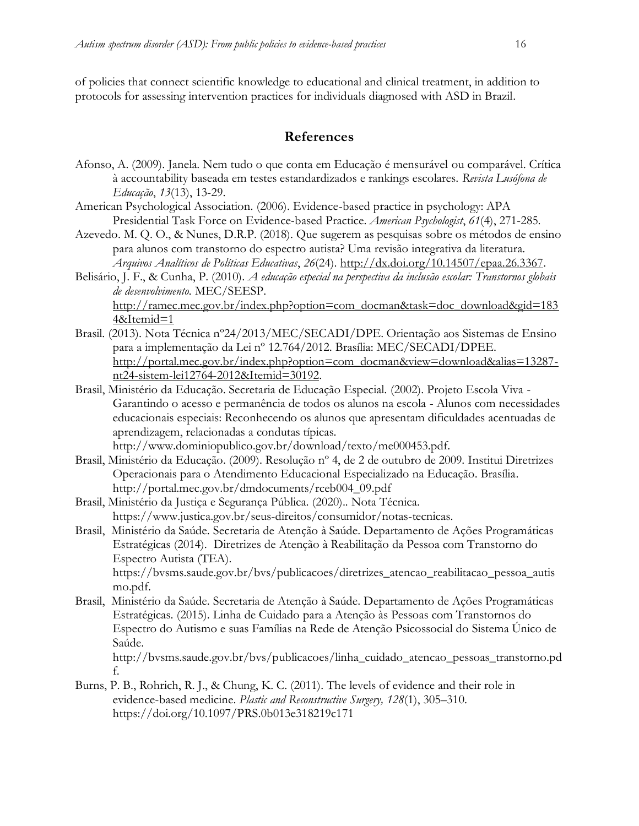of policies that connect scientific knowledge to educational and clinical treatment, in addition to protocols for assessing intervention practices for individuals diagnosed with ASD in Brazil.

## **References**

- Afonso, A. (2009). Janela. Nem tudo o que conta em Educação é mensurável ou comparável. Crítica à accountability baseada em testes estandardizados e rankings escolares. *Revista Lusófona de Educação*, *13*(13), 13-29.
- American Psychological Association. (2006). Evidence-based practice in psychology: APA Presidential Task Force on Evidence-based Practice. *American Psychologist*, *61*(4), 271-285.
- Azevedo. M. Q. O., & Nunes, D.R.P. (2018). Que sugerem as pesquisas sobre os métodos de ensino para alunos com transtorno do espectro autista? Uma revisão integrativa da literatura. *Arquivos Analíticos de Políticas Educativas*, *26*(24). [http://dx.doi.org/10.14507/epaa.26.3367.](http://dx.doi.org/10.14507/epaa.26.3367)
- Belisário, J. F., & Cunha, P. (2010). *A educação especial na perspectiva da inclusão escolar: Transtornos globais de desenvolvimento.* MEC/SEESP. [http://ramec.mec.gov.br/index.php?option=com\\_docman&task=doc\\_download&gid=183](http://ramec.mec.gov.br/index.php?option=com_docman&task=doc_download&gid=1834&Itemid=1)

```
4&Itemid=1
```
- Brasil. (2013). Nota Técnica nº24/2013/MEC/SECADI/DPE. Orientação aos Sistemas de Ensino para a implementação da Lei nº 12.764/2012. Brasília: MEC/SECADI/DPEE. [http://portal.mec.gov.br/index.php?option=com\\_docman&view=download&alias=13287](http://portal.mec.gov.br/index.php?option=com_docman&view=download&alias=13287-nt24-sistem-lei12764-2012&Itemid=30192) [nt24-sistem-lei12764-2012&Itemid=30192.](http://portal.mec.gov.br/index.php?option=com_docman&view=download&alias=13287-nt24-sistem-lei12764-2012&Itemid=30192)
- Brasil, Ministério da Educação. Secretaria de Educação Especial. (2002). Projeto Escola Viva Garantindo o acesso e permanência de todos os alunos na escola - Alunos com necessidades educacionais especiais: Reconhecendo os alunos que apresentam dificuldades acentuadas de aprendizagem, relacionadas a condutas típicas.
	- http://www.dominiopublico.gov.br/download/texto/me000453.pdf.
- Brasil, Ministério da Educação. (2009). Resolução nº 4, de 2 de outubro de 2009. Institui Diretrizes Operacionais para o Atendimento Educacional Especializado na Educação. Brasília. http://portal.mec.gov.br/dmdocuments/rceb004\_09.pdf
- Brasil, Ministério da Justiça e Segurança Pública. (2020).*.* Nota Técnica. https://www.justica.gov.br/seus-direitos/consumidor/notas-tecnicas.
- Brasil, Ministério da Saúde. Secretaria de Atenção à Saúde. Departamento de Ações Programáticas Estratégicas (2014). Diretrizes de Atenção à Reabilitação da Pessoa com Transtorno do Espectro Autista (TEA).

https://bvsms.saude.gov.br/bvs/publicacoes/diretrizes\_atencao\_reabilitacao\_pessoa\_autis mo.pdf.

Brasil, Ministério da Saúde. Secretaria de Atenção à Saúde. Departamento de Ações Programáticas Estratégicas. (2015). Linha de Cuidado para a Atenção às Pessoas com Transtornos do Espectro do Autismo e suas Famílias na Rede de Atenção Psicossocial do Sistema Único de Saúde.

http://bvsms.saude.gov.br/bvs/publicacoes/linha\_cuidado\_atencao\_pessoas\_transtorno.pd f.

Burns, P. B., Rohrich, R. J., & Chung, K. C. (2011). The levels of evidence and their role in evidence-based medicine. *Plastic and Reconstructive Surgery, 128*(1), 305–310. https://doi.org/10.1097/PRS.0b013e318219c171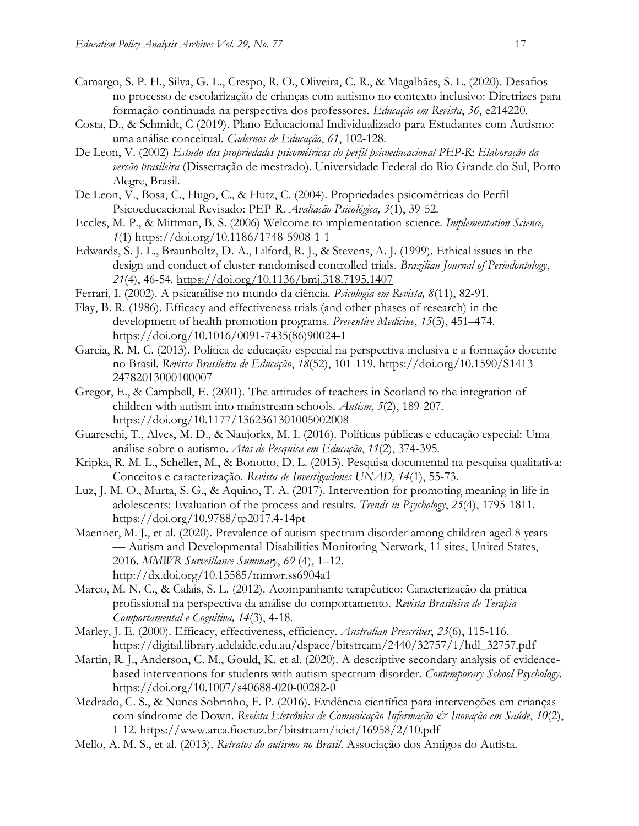- Camargo, S. P. H., Silva, G. L., Crespo, R. O., Oliveira, C. R., & Magalhães, S. L. (2020). Desafios no processo de escolarização de crianças com autismo no contexto inclusivo: Diretrizes para formação continuada na perspectiva dos professores. *Educação em Revista*, *36*, e214220.
- Costa, D., & Schmidt, C (2019). Plano Educacional Individualizado para Estudantes com Autismo: uma análise conceitual. *Cadernos de Educação*, *61*, 102-128.
- De Leon, V. (2002) *Estudo das propriedades psicométricas do perfil psicoeducacional PEP-R*: *Elaboração da versão brasileira* (Dissertação de mestrado). Universidade Federal do Rio Grande do Sul, Porto Alegre, Brasil.
- De Leon, V., Bosa, C., Hugo, C., & Hutz, C. (2004). Propriedades psicométricas do Perfil Psicoeducacional Revisado: PEP-R. *Avaliação Psicológica, 3*(1), 39-52.
- Eccles, M. P., & Mittman, B. S. (2006) Welcome to implementation science. *Implementation Science, 1*(1)<https://doi.org/10.1186/1748-5908-1-1>
- Edwards, S. J. L., Braunholtz, D. A., Lilford, R. J., & Stevens, A. J. (1999). Ethical issues in the design and conduct of cluster randomised controlled trials. *Brazilian Journal of Periodontology*, *21*(4), 46-54.<https://doi.org/10.1136/bmj.318.7195.1407>
- Ferrari, I. (2002). A psicanálise no mundo da ciência. *Psicologia em Revista, 8*(11), 82-91.
- Flay, B. R. (1986). Efficacy and effectiveness trials (and other phases of research) in the development of health promotion programs. *Preventive Medicine*, *15*(5), 451–474. https://doi.org/10.1016/0091-7435(86)90024-1
- Garcia, R. M. C. (2013). Política de educação especial na perspectiva inclusiva e a formação docente no Brasil. *Revista Brasileira de Educação*, *18*(52), 101-119. https://doi.org/10.1590/S1413- 24782013000100007
- Gregor, E., & Campbell, E. (2001). The attitudes of teachers in Scotland to the integration of children with autism into mainstream schools. *Autism*, *5*(2), 189-207. https://doi.org/10.1177/1362361301005002008
- Guareschi, T., Alves, M. D., & Naujorks, M. I. (2016). Políticas públicas e educação especial: Uma análise sobre o autismo. *Atos de Pesquisa em Educação*, *11*(2), 374-395.
- Kripka, R. M. L., Scheller, M., & Bonotto, D. L. (2015). Pesquisa documental na pesquisa qualitativa: Conceitos e caracterização. *Revista de Investigaciones UNAD, 14*(1), 55-73.
- Luz, J. M. O., Murta, S. G., & Aquino, T. A. (2017). Intervention for promoting meaning in life in adolescents: Evaluation of the process and results. *Trends in Psychology*, *25*(4), 1795-1811. https://doi.org/10.9788/tp2017.4-14pt
- Maenner, M. J., et al. (2020). Prevalence of autism spectrum disorder among children aged 8 years — Autism and Developmental Disabilities Monitoring Network, 11 sites, United States, 2016. *MMWR Surveillance Summary*, *69* (4), 1–12. <http://dx.doi.org/10.15585/mmwr.ss6904a1>
- Marco, M. N. C., & Calais, S. L. (2012). Acompanhante terapêutico: Caracterização da prática profissional na perspectiva da análise do comportamento. *Revista Brasileira de Terapia Comportamental e Cognitiva, 14*(3), 4-18.
- Marley, J. E. (2000). Efficacy, effectiveness, efficiency. *Australian Prescriber*, *23*(6), 115-116. https://digital.library.adelaide.edu.au/dspace/bitstream/2440/32757/1/hdl\_32757.pdf
- Martin, R. J., Anderson, C. M., Gould, K. et al. (2020). A descriptive secondary analysis of evidencebased interventions for students with autism spectrum disorder. *Contemporary School Psychology*. https://doi.org/10.1007/s40688-020-00282-0
- Medrado, C. S., & Nunes Sobrinho, F. P. (2016). Evidência científica para intervenções em crianças com síndrome de Down. *Revista Eletrônica de Comunicação Informação & Inovação em Saúde*, *10*(2), 1-12. https://www.arca.fiocruz.br/bitstream/icict/16958/2/10.pdf
- Mello, A. M. S., et al. (2013). *Retratos do autismo no Brasil*. Associação dos Amigos do Autista.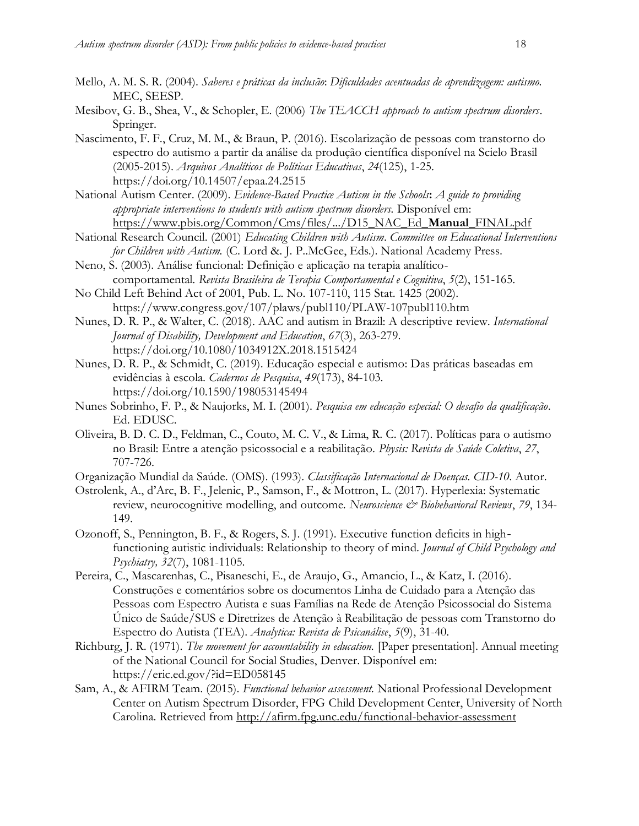- 
- Mello, A. M. S. R. (2004). *Saberes e práticas da inclusão*: *Dificuldades acentuadas de aprendizagem: autismo.* MEC, SEESP.
- Mesibov, G. B., Shea, V., & Schopler, E. (2006) *The TEACCH approach to autism spectrum disorders*. Springer.
- Nascimento, F. F., Cruz, M. M., & Braun, P. (2016). Escolarização de pessoas com transtorno do espectro do autismo a partir da análise da produção científica disponível na Scielo Brasil (2005-2015). *Arquivos Analíticos de Políticas Educativas*, *24*(125), 1-25. https://doi.org/10.14507/epaa.24.2515
- National Autism Center. (2009). *Evidence-Based Practice Autism in the Schools***:** *A guide to providing appropriate interventions to students with autism spectrum disorders.* Disponível em: [https://www.pbis.org/Common/Cms/files/.../D15\\_NAC\\_Ed\\_](https://www.pbis.org/Common/Cms/files/.../D15_NAC_Ed_Manual_FINAL.pdf)**Manual**\_FINAL.pdf
- National Research Council. (2001) *Educating Children with Autism*. *Committee on Educational Interventions for Children with Autism.* (C. Lord &. J. P..McGee, Eds.). National Academy Press.
- Neno, S. (2003). Análise funcional: Definição e aplicação na terapia analíticocomportamental. *Revista Brasileira de Terapia Comportamental e Cognitiva*, *5*(2), 151-165.
- No Child Left Behind Act of 2001, Pub. L. No. 107-110, 115 Stat. 1425 (2002). https://www.congress.gov/107/plaws/publ110/PLAW-107publ110.htm
- Nunes, D. R. P., & Walter, C. (2018). AAC and autism in Brazil: A descriptive review. *International Journal of Disability, Development and Education*, *67*(3), 263-279. https://doi.org/10.1080/1034912X.2018.1515424
- Nunes, D. R. P., & Schmidt, C. (2019). Educação especial e autismo: Das práticas baseadas em evidências à escola. *Cadernos de Pesquisa*, *49*(173), 84-103. https://doi.org/10.1590/198053145494
- Nunes Sobrinho, F. P., & Naujorks, M. I. (2001). *Pesquisa em educação especial: O desafio da qualificação*. Ed. EDUSC.
- Oliveira, B. D. C. D., Feldman, C., Couto, M. C. V., & Lima, R. C. (2017). Políticas para o autismo no Brasil: Entre a atenção psicossocial e a reabilitação. *Physis: Revista de Saúde Coletiva*, *27*, 707-726.
- Organização Mundial da Saúde. (OMS). (1993). *Classificação Internacional de Doenças. CID-10*. Autor.
- Ostrolenk, A., d'Arc, B. F., Jelenic, P., Samson, F., & Mottron, L. (2017). Hyperlexia: Systematic review, neurocognitive modelling, and outcome. *Neuroscience & Biobehavioral Reviews*, 79, 134-149.
- Ozonoff, S., Pennington, B. F., & Rogers, S. J. (1991). Executive function deficits in high‐ functioning autistic individuals: Relationship to theory of mind. *Journal of Child Psychology and Psychiatry, 32*(7), 1081-1105.
- Pereira, C., Mascarenhas, C., Pisaneschi, E., de Araujo, G., Amancio, L., & Katz, I. (2016). Construções e comentários sobre os documentos Linha de Cuidado para a Atenção das Pessoas com Espectro Autista e suas Famílias na Rede de Atenção Psicossocial do Sistema Único de Saúde/SUS e Diretrizes de Atenção à Reabilitação de pessoas com Transtorno do Espectro do Autista (TEA). *Analytica: Revista de Psicanálise*, *5*(9), 31-40.
- Richburg, J. R. (1971). *The movement for accountability in education.* [Paper presentation]. Annual meeting of the National Council for Social Studies, Denver. Disponível em: https://eric.ed.gov/?id=ED058145
- Sam, A., & AFIRM Team. (2015). *Functional behavior assessment.* National Professional Development Center on Autism Spectrum Disorder, FPG Child Development Center, University of North Carolina. Retrieved from<http://afirm.fpg.unc.edu/functional-behavior-assessment>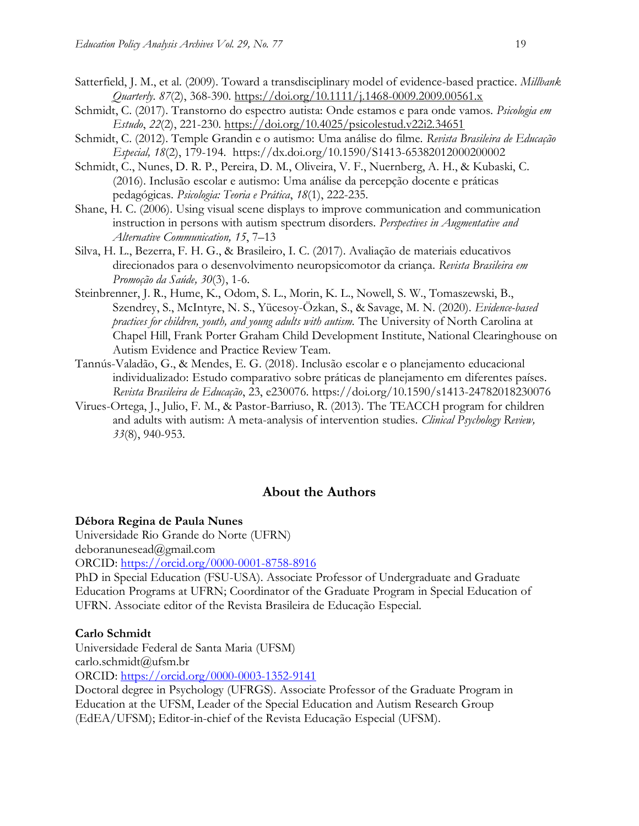- Satterfield, J. M., et al. (2009). Toward a transdisciplinary model of evidence-based practice. *Millbank Quarterly. 87*(2), 368-390.<https://doi.org/10.1111/j.1468-0009.2009.00561.x>
- Schmidt, C. (2017). Transtorno do espectro autista: Onde estamos e para onde vamos. *Psicologia em Estudo*, *22*(2), 221-230.<https://doi.org/10.4025/psicolestud.v22i2.34651>
- Schmidt, C. (2012). Temple Grandin e o autismo: Uma análise do filme. *Revista Brasileira de Educação Especial, 18*(2), 179-194. https://dx.doi.org/10.1590/S1413-65382012000200002
- Schmidt, C., Nunes, D. R. P., Pereira, D. M., Oliveira, V. F., Nuernberg, A. H., & Kubaski, C. (2016). Inclusão escolar e autismo: Uma análise da percepção docente e práticas pedagógicas. *Psicologia: Teoria e Prática*, *18*(1), 222-235.
- Shane, H. C. (2006). Using visual scene displays to improve communication and communication instruction in persons with autism spectrum disorders. *Perspectives in Augmentative and Alternative Communication, 15*, 7–13
- Silva, H. L., Bezerra, F. H. G., & Brasileiro, I. C. (2017). Avaliação de materiais educativos direcionados para o desenvolvimento neuropsicomotor da criança. *Revista Brasileira em Promoção da Saúde, 30*(3), 1-6.
- Steinbrenner, J. R., Hume, K., Odom, S. L., Morin, K. L., Nowell, S. W., Tomaszewski, B., Szendrey, S., McIntyre, N. S., Yücesoy-Özkan, S., & Savage, M. N. (2020). *Evidence-based practices for children, youth, and young adults with autism.* The University of North Carolina at Chapel Hill, Frank Porter Graham Child Development Institute, National Clearinghouse on Autism Evidence and Practice Review Team.
- Tannús-Valadão, G., & Mendes, E. G. (2018). Inclusão escolar e o planejamento educacional individualizado: Estudo comparativo sobre práticas de planejamento em diferentes países. *Revista Brasileira de Educação*, 23, e230076. https://doi.org/10.1590/s1413-24782018230076
- Virues-Ortega, J., Julio, F. M., & Pastor-Barriuso, R. (2013). The TEACCH program for children and adults with autism: A meta-analysis of intervention studies. *Clinical Psychology Review, 33*(8), 940-953.

## **About the Authors**

#### **Débora Regina de Paula Nunes**

Universidade Rio Grande do Norte (UFRN) deboranunesead@gmail.com

ORCID:<https://orcid.org/0000-0001-8758-8916>

PhD in Special Education (FSU-USA). Associate Professor of Undergraduate and Graduate Education Programs at UFRN; Coordinator of the Graduate Program in Special Education of UFRN. Associate editor of the Revista Brasileira de Educação Especial.

#### **Carlo Schmidt**

Universidade Federal de Santa Maria (UFSM) carlo.schmidt@ufsm.br

ORCID:<https://orcid.org/0000-0003-1352-9141>

Doctoral degree in Psychology (UFRGS). Associate Professor of the Graduate Program in Education at the UFSM, Leader of the Special Education and Autism Research Group (EdEA/UFSM); Editor-in-chief of the Revista Educação Especial (UFSM).